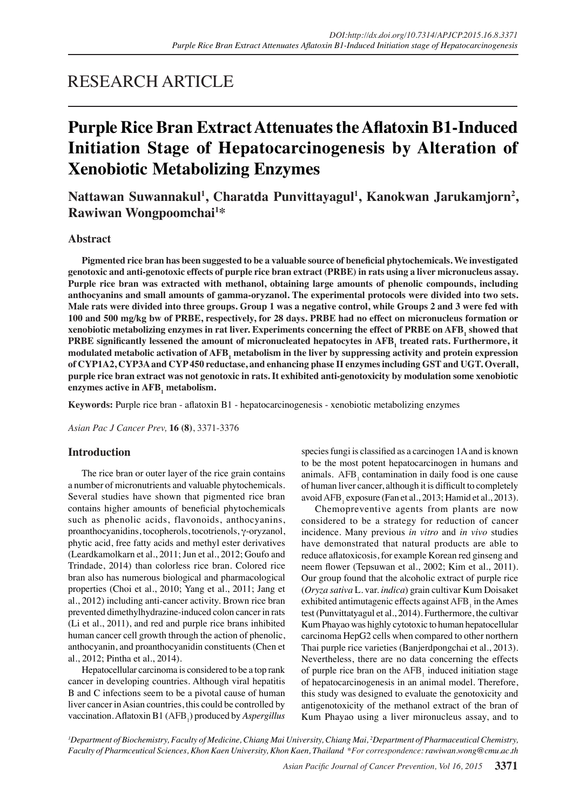# RESEARCH ARTICLE

# **Purple Rice Bran ExtractAttenuatestheAflatoxin B1-Induced Initiation Stage of Hepatocarcinogenesis by Alteration of Xenobiotic Metabolizing Enzymes**

**Nattawan Suwannakul<sup>1</sup> , Charatda Punvittayagul<sup>1</sup> , Kanokwan Jarukamjorn2 , Rawiwan Wongpoomchai<sup>1</sup> \***

## **Abstract**

 **Pigmented rice bran has been suggested to be a valuable source of beneficial phytochemicals. We investigated** genotoxic and anti-genotoxic effects of purple rice bran extract (PRBE) in rats using a liver micronucleus assay. **Purple rice bran was extracted with methanol, obtaining large amounts of phenolic compounds, including anthocyanins and small amounts of gamma-oryzanol. The experimental protocols were divided into two sets.** Male rats were divided into three groups. Group 1 was a negative control, while Groups 2 and 3 were fed with 100 and 500 mg/kg bw of PRBE, respectively, for 28 days. PRBE had no effect on micronucleus formation or xenobiotic metabolizing enzymes in rat liver. Experiments concerning the effect of PRBE on AFB, showed that **PRBE significantly lessened the amount of micronucleated hepatocytes in AFB<sup>1</sup> treated rats. Furthermore, it modulated metabolic activation of AFB<sup>1</sup> metabolism in the liver by suppressing activity and protein expression of CYP1A2, CYP3Aand CYP450 reductase, and enhancing phase II enzymesincluding GST and UGT. Overall, purple rice bran extract was not genotoxic in rats. It exhibited anti-genotoxicity by modulation some xenobiotic enzymes active in AFB<sup>1</sup> metabolism.**

**Keywords:** Purple rice bran - aflatoxin B1 - hepatocarcinogenesis - xenobiotic metabolizing enzymes

*Asian Pac J Cancer Prev,* **16 (8)**, 3371-3376

### **Introduction**

The rice bran or outer layer of the rice grain contains a number of micronutrients and valuable phytochemicals. Several studies have shown that pigmented rice bran contains higher amounts of beneficial phytochemicals such as phenolic acids, flavonoids, anthocyanins, proanthocyanidins, tocopherols, tocotrienols, γ-oryzanol, phytic acid, free fatty acids and methyl ester derivatives (Leardkamolkarn et al., 2011; Jun et al., 2012; Goufo and Trindade, 2014) than colorless rice bran. Colored rice bran also has numerous biological and pharmacological properties (Choi et al., 2010; Yang et al., 2011; Jang et al., 2012) including anti-cancer activity. Brown rice bran prevented dimethylhydrazine-induced colon cancer in rats (Li et al., 2011), and red and purple rice brans inhibited human cancer cell growth through the action of phenolic, anthocyanin, and proanthocyanidin constituents (Chen et al., 2012; Pintha et al., 2014).

Hepatocellular carcinoma is considered to be a top rank cancer in developing countries. Although viral hepatitis B and C infections seem to be a pivotal cause of human liver cancer in Asian countries, this could be controlled by vaccination. Aflatoxin B1 (AFB<sub>1</sub>) produced by *Aspergillus*  species fungi is classified as a carcinogen 1A and is known to be the most potent hepatocarcinogen in humans and animals.  $AFB<sub>1</sub>$  contamination in daily food is one cause of human liver cancer, although it is difficult to completely avoid  $AFB<sub>1</sub>$  exposure (Fan et al., 2013; Hamid et al., 2013).

Chemopreventive agents from plants are now considered to be a strategy for reduction of cancer incidence. Many previous *in vitro* and *in vivo* studies have demonstrated that natural products are able to reduce aflatoxicosis, for example Korean red ginseng and neem flower (Tepsuwan et al., 2002; Kim et al., 2011). Our group found that the alcoholic extract of purple rice (*Oryza sativa* L. var. *indica*) grain cultivar Kum Doisaket exhibited antimutagenic effects against  $AFB<sub>1</sub>$  in the Ames test (Punvittatyagul et al., 2014). Furthermore, the cultivar Kum Phayao was highly cytotoxic to human hepatocellular carcinoma HepG2 cells when compared to other northern Thai purple rice varieties (Banjerdpongchai et al., 2013). Nevertheless, there are no data concerning the effects of purple rice bran on the  $AFB<sub>1</sub>$  induced initiation stage of hepatocarcinogenesis in an animal model. Therefore, this study was designed to evaluate the genotoxicity and antigenotoxicity of the methanol extract of the bran of Kum Phayao using a liver mironucleus assay, and to

*1 Department of Biochemistry, Faculty of Medicine, Chiang Mai University, Chiang Mai, 2 Department of Pharmaceutical Chemistry, Faculty of Pharmceutical Sciences, Khon Kaen University, Khon Kaen, Thailand \*For correspondence: rawiwan.wong@cmu.ac.th*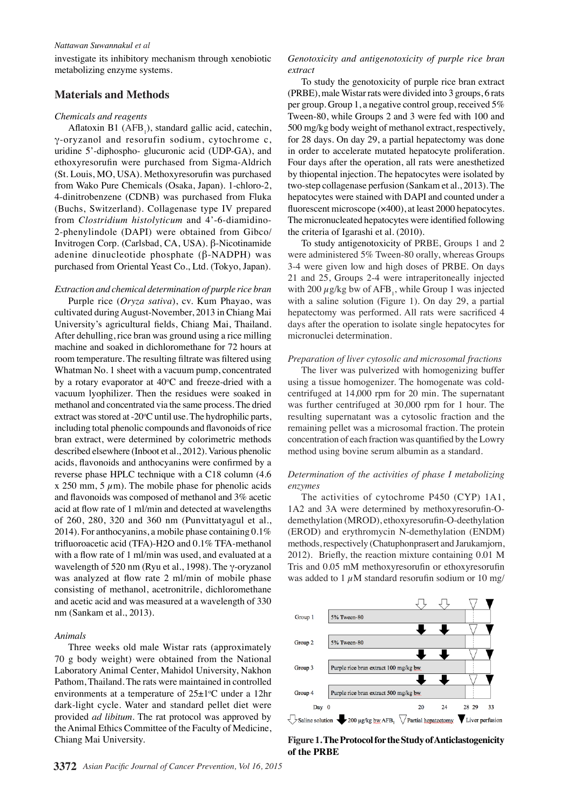#### *Nattawan Suwannakul et al*

investigate its inhibitory mechanism through xenobiotic metabolizing enzyme systems.

### **Materials and Methods**

#### *Chemicals and reagents*

Aflatoxin B1  $(AFB_1)$ , standard gallic acid, catechin, γ-oryzanol and resorufin sodium, cytochrome c, uridine 5'-diphospho- glucuronic acid (UDP-GA), and ethoxyresorufin were purchased from Sigma-Aldrich (St. Louis, MO, USA). Methoxyresorufin was purchased from Wako Pure Chemicals (Osaka, Japan). 1-chloro-2, 4-dinitrobenzene (CDNB) was purchased from Fluka (Buchs, Switzerland). Collagenase type IV prepared from *Clostridium histolyticum* and 4'-6-diamidino-2-phenylindole (DAPI) were obtained from Gibco/ Invitrogen Corp. (Carlsbad, CA, USA). β-Nicotinamide adenine dinucleotide phosphate (β-NADPH) was purchased from Oriental Yeast Co., Ltd. (Tokyo, Japan).

*Extraction and chemical determination of purple rice bran* Purple rice (*Oryza sativa*), cv. Kum Phayao, was cultivated during August-November, 2013 in Chiang Mai University's agricultural fields, Chiang Mai, Thailand. After dehulling, rice bran was ground using a rice milling machine and soaked in dichloromethane for 72 hours at room temperature. The resulting filtrate was filtered using Whatman No. 1 sheet with a vacuum pump, concentrated by a rotary evaporator at 40°C and freeze-dried with a vacuum lyophilizer. Then the residues were soaked in methanol and concentrated via the same process. The dried extract was stored at -20°C until use. The hydrophilic parts, including total phenolic compounds and flavonoids of rice bran extract, were determined by colorimetric methods described elsewhere (Inboot et al., 2012). Various phenolic acids, flavonoids and anthocyanins were confirmed by a reverse phase HPLC technique with a C18 column (4.6 x 250 mm, 5  $\mu$ m). The mobile phase for phenolic acids and flavonoids was composed of methanol and 3% acetic acid at flow rate of 1 ml/min and detected at wavelengths of 260, 280, 320 and 360 nm (Punvittatyagul et al., 2014). For anthocyanins, a mobile phase containing 0.1% trifluoroacetic acid (TFA)-H2O and 0.1% TFA-methanol with a flow rate of 1 ml/min was used, and evaluated at a wavelength of 520 nm (Ryu et al., 1998). The γ-oryzanol was analyzed at flow rate 2 ml/min of mobile phase consisting of methanol, acetronitrile, dichloromethane and acetic acid and was measured at a wavelength of 330 nm (Sankam et al., 2013).

#### *Animals*

Three weeks old male Wistar rats (approximately 70 g body weight) were obtained from the National Laboratory Animal Center, Mahidol University, Nakhon Pathom, Thailand. The rats were maintained in controlled environments at a temperature of  $25\pm1$ °C under a 12hr dark-light cycle. Water and standard pellet diet were provided *ad libitum*. The rat protocol was approved by the Animal Ethics Committee of the Faculty of Medicine, Chiang Mai University.

To study the genotoxicity of purple rice bran extract (PRBE), male Wistar rats were divided into 3 groups, 6 rats per group. Group 1, a negative control group, received 5% Tween-80, while Groups 2 and 3 were fed with 100 and 500 mg/kg body weight of methanol extract, respectively, for 28 days. On day 29, a partial hepatectomy was done in order to accelerate mutated hepatocyte proliferation. Four days after the operation, all rats were anesthetized by thiopental injection. The hepatocytes were isolated by two-step collagenase perfusion (Sankam et al., 2013). The hepatocytes were stained with DAPI and counted under a fluorescent microscope (×400), at least 2000 hepatocytes. The micronucleated hepatocytes were identified following the criteria of Igarashi et al. (2010).

To study antigenotoxicity of PRBE, Groups 1 and 2 were administered 5% Tween-80 orally, whereas Groups 3-4 were given low and high doses of PRBE. On days 21 and 25, Groups 2-4 were intraperitoneally injected with 200  $\mu$ g/kg bw of AFB<sub>1</sub>, while Group 1 was injected with a saline solution (Figure 1). On day 29, a partial hepatectomy was performed. All rats were sacrificed 4 days after the operation to isolate single hepatocytes for micronuclei determination.

#### *Preparation of liver cytosolic and microsomal fractions*

The liver was pulverized with homogenizing buffer using a tissue homogenizer. The homogenate was coldcentrifuged at 14,000 rpm for 20 min. The supernatant was further centrifuged at 30,000 rpm for 1 hour. The resulting supernatant was a cytosolic fraction and the remaining pellet was a microsomal fraction. The protein concentration of each fraction was quantified by the Lowry method using bovine serum albumin as a standard.

#### *Determination of the activities of phase I metabolizing enzymes*

The activities of cytochrome P450 (CYP) 1A1, 1A2 and 3A were determined by methoxyresorufin-Odemethylation (MROD), ethoxyresorufin-O-deethylation (EROD) and erythromycin N-demethylation (ENDM) methods, respectively (Chatuphonprasert and Jarukamjorn, 2012). Briefly, the reaction mixture containing 0.01 M Tris and 0.05 mM methoxyresorufin or ethoxyresorufin was added to 1  $\mu$ M standard resorufin sodium or 10 mg/



**Figure1.TheProtocolfortheStudyofAnticlastogenicity of the PRBE**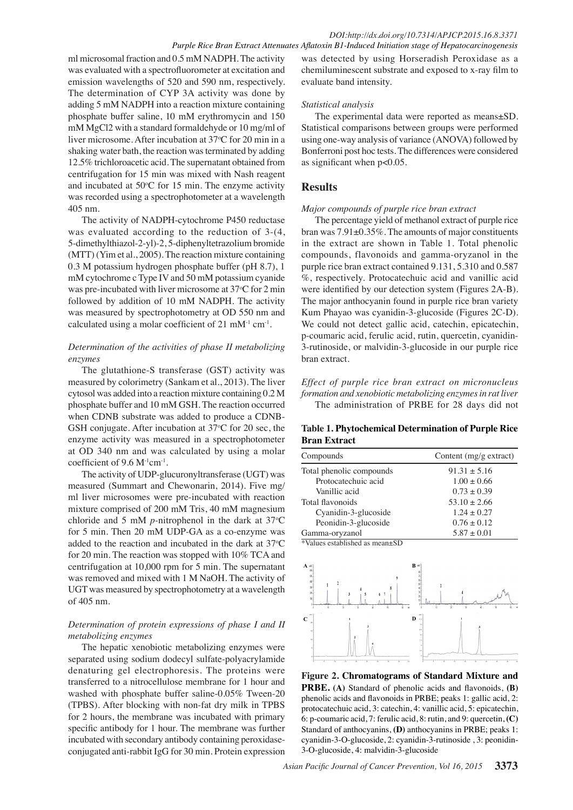ml microsomal fraction and 0.5 mM NADPH. The activity was evaluated with a spectrofluorometer at excitation and emission wavelengths of 520 and 590 nm, respectively. The determination of CYP 3A activity was done by adding 5 mM NADPH into a reaction mixture containing phosphate buffer saline, 10 mM erythromycin and 150 mM MgCl2 with a standard formaldehyde or 10 mg/ml of liver microsome. After incubation at 37°C for 20 min in a shaking water bath, the reaction was terminated by adding 12.5% trichloroacetic acid. The supernatant obtained from centrifugation for 15 min was mixed with Nash reagent and incubated at  $50^{\circ}$ C for 15 min. The enzyme activity was recorded using a spectrophotometer at a wavelength 405 nm.

The activity of NADPH-cytochrome P450 reductase was evaluated according to the reduction of 3-(4, 5-dimethylthiazol-2-yl)-2, 5-diphenyltetrazolium bromide (MTT) (Yim et al., 2005). The reaction mixture containing 0.3 M potassium hydrogen phosphate buffer (pH 8.7), 1 mM cytochrome c Type IV and 50 mM potassium cyanide was pre-incubated with liver microsome at 37°C for 2 min followed by addition of 10 mM NADPH. The activity was measured by spectrophotometry at OD 550 nm and calculated using a molar coefficient of  $21 \text{ mM}^{-1} \text{ cm}^{-1}$ .

## *Determination of the activities of phase II metabolizing enzymes*

The glutathione-S transferase (GST) activity was measured by colorimetry (Sankam et al., 2013). The liver cytosol was added into a reaction mixture containing 0.2 M phosphate buffer and 10 mM GSH. The reaction occurred when CDNB substrate was added to produce a CDNB-GSH conjugate. After incubation at  $37^{\circ}$ C for 20 sec, the enzyme activity was measured in a spectrophotometer at OD 340 nm and was calculated by using a molar coefficient of 9.6 M<sup>-1</sup>cm<sup>-1</sup>.

The activity of UDP-glucuronyltransferase (UGT) was measured (Summart and Chewonarin, 2014). Five mg/ ml liver microsomes were pre-incubated with reaction mixture comprised of 200 mM Tris, 40 mM magnesium chloride and 5 mM  $p$ -nitrophenol in the dark at  $37^{\circ}$ C for 5 min. Then 20 mM UDP-GA as a co-enzyme was added to the reaction and incubated in the dark at  $37^{\circ}$ C for 20 min. The reaction was stopped with 10% TCA and centrifugation at 10,000 rpm for 5 min. The supernatant was removed and mixed with 1 M NaOH. The activity of UGT was measured by spectrophotometry at a wavelength of 405 nm.

## *Determination of protein expressions of phase I and II metabolizing enzymes*

The hepatic xenobiotic metabolizing enzymes were separated using sodium dodecyl sulfate-polyacrylamide denaturing gel electrophoresis. The proteins were transferred to a nitrocellulose membrane for 1 hour and washed with phosphate buffer saline-0.05% Tween-20 (TPBS). After blocking with non-fat dry milk in TPBS for 2 hours, the membrane was incubated with primary specific antibody for 1 hour. The membrane was further incubated with secondary antibody containing peroxidaseconjugated anti-rabbit IgG for 30 min. Protein expression

was detected by using Horseradish Peroxidase as a chemiluminescent substrate and exposed to x-ray film to evaluate band intensity.

## *Statistical analysis*

The experimental data were reported as means±SD. Statistical comparisons between groups were performed using one-way analysis of variance (ANOVA) followed by Bonferroni post hoc tests. The differences were considered as significant when p<0.05.

## **Results**

### *Major compounds of purple rice bran extract*

The percentage yield of methanol extract of purple rice bran was 7.91±0.35%. The amounts of major constituents in the extract are shown in Table 1. Total phenolic compounds, flavonoids and gamma-oryzanol in the purple rice bran extract contained 9.131, 5.310 and 0.587 %, respectively. Protocatechuic acid and vanillic acid were identified by our detection system (Figures 2A-B). The major anthocyanin found in purple rice bran variety Kum Phayao was cyanidin-3-glucoside (Figures 2C-D). We could not detect gallic acid, catechin, epicatechin, p-coumaric acid, ferulic acid, rutin, quercetin, cyanidin-3-rutinoside, or malvidin-3-glucoside in our purple rice bran extract.

*Effect of purple rice bran extract on micronucleus formation and xenobiotic metabolizing enzymes in rat liver*  The administration of PRBE for 28 days did not

### **Table 1. Phytochemical Determination of Purple Rice Bran Extract**

| Compounds                                                       | Content $(mg/g)$ extract) |  |  |
|-----------------------------------------------------------------|---------------------------|--|--|
| Total phenolic compounds                                        | $91.31 \pm 5.16$          |  |  |
| Protocatechuic acid                                             | $1.00 \pm 0.66$           |  |  |
| Vanillic acid                                                   | $0.73 \pm 0.39$           |  |  |
| Total flavonoids                                                | $53.10 \pm 2.66$          |  |  |
| Cyanidin-3-glucoside                                            | $1.24 \pm 0.27$           |  |  |
| Peonidin-3-glucoside                                            | $0.76 \pm 0.12$           |  |  |
| Gamma-oryzanol<br>$N_{\rm e}$ luga astablished ee maan $\rm CD$ | $5.87 \pm 0.01$           |  |  |

\*Values established as mean±SD



**Figure 2. Chromatograms of Standard Mixture and PRBE. (A)** Standard of phenolic acids and flavonoids, **(B)** phenolic acids and flavonoids in PRBE; peaks 1: gallic acid, 2: protocatechuic acid, 3: catechin, 4: vanillic acid, 5: epicatechin, 6: p-coumaric acid, 7: ferulic acid, 8: rutin, and 9: quercetin, **(C)**  Standard of anthocyanins, **(D)** anthocyanins in PRBE; peaks 1: cyanidin-3-O-glucoside, 2: cyanidin-3-rutinoside , 3: peonidin-3-O-glucoside, 4: malvidin-3-glucoside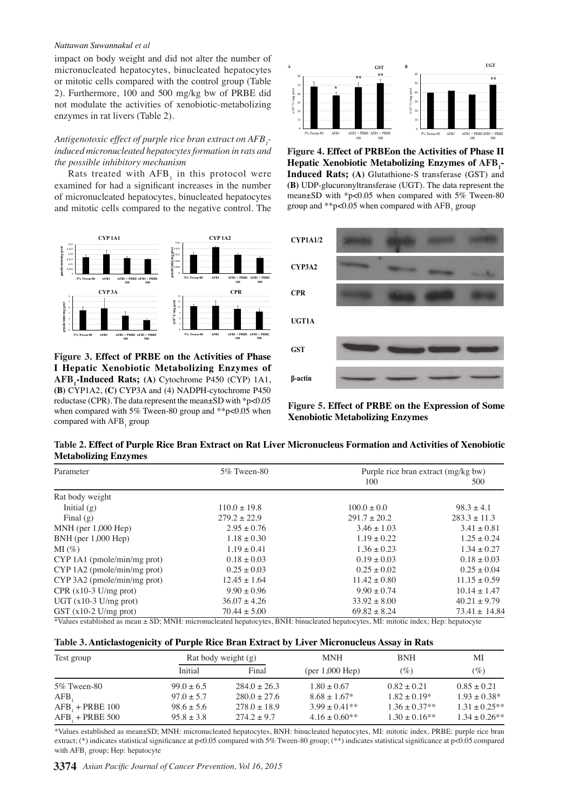#### *Nattawan Suwannakul et al*

impact on body weight and did not alter the number of micronucleated hepatocytes, binucleated hepatocytes or mitotic cells compared with the control group (Table 2). Furthermore, 100 and 500 mg/kg bw of PRBE did not modulate the activities of xenobiotic-metabolizing enzymes in rat livers (Table 2).

#### *Antigenotoxic effect of purple rice bran extract on AFB1 induced micronucleated hepatocytes formation in rats and the possible inhibitory mechanism*

Rats treated with  $AFB<sub>1</sub>$  in this protocol were examined for had a significant increases in the number of micronucleated hepatocytes, binucleated hepatocytes and mitotic cells compared to the negative control. The



**Figure 3. Effect of PRBE on the Activities of Phase I Hepatic Xenobiotic Metabolizing Enzymes of AFB<sup>1</sup> -Induced Rats; (A)** Cytochrome P450 (CYP) 1A1, **(B)** CYP1A2, **(C)** CYP3A and (4) NADPH-cytochrome P450 reductase (CPR). The data represent the mean±SD with \*p<0.05 when compared with 5% Tween-80 group and \*\*p<0.05 when compared with  $AFB<sub>1</sub>$  group



**Figure 4. Effect of PRBEon the Activities of Phase II Hepatic Xenobiotic Metabolizing Enzymes of AFB<sup>1</sup> - Induced Rats; (A)** Glutathione-S transferase (GST) and **(B)** UDP-glucuronyltransferase (UGT). The data represent the mean±SD with \*p<0.05 when compared with 5% Tween-80 group and  $*p<0.05$  when compared with  $AFB<sub>1</sub>$  group



**Figure 5. Effect of PRBE on the Expression of Some Xenobiotic Metabolizing Enzymes**

Table 2. Effect of Purple Rice Bran Extract on Rat Liver Micronucleus Formation and Activities of Xenobiotic **Metabolizing Enzymes**

| Parameter                                                                                                                                     | 5% Tween-80      | Purple rice bran extract (mg/kg bw) |                   |  |
|-----------------------------------------------------------------------------------------------------------------------------------------------|------------------|-------------------------------------|-------------------|--|
|                                                                                                                                               |                  | 100                                 | 500               |  |
| Rat body weight                                                                                                                               |                  |                                     |                   |  |
| Initial $(g)$                                                                                                                                 | $110.0 \pm 19.8$ | $100.0 \pm 0.0$                     | $98.3 \pm 4.1$    |  |
| Final $(g)$                                                                                                                                   | $279.2 \pm 22.9$ | $291.7 \pm 20.2$                    | $283.3 \pm 11.3$  |  |
| $MNH$ (per 1,000 Hep)                                                                                                                         | $2.95 \pm 0.76$  | $3.46 \pm 1.03$                     | $3.41 \pm 0.81$   |  |
| $BNH$ (per $1,000$ Hep)                                                                                                                       | $1.18 \pm 0.30$  | $1.19 \pm 0.22$                     | $1.25 \pm 0.24$   |  |
| $MI(\%)$                                                                                                                                      | $1.19 \pm 0.41$  | $1.36 \pm 0.23$                     | $1.34 \pm 0.27$   |  |
| $CYP 1A1$ (pmole/min/mg prot)                                                                                                                 | $0.18 \pm 0.03$  | $0.19 \pm 0.03$                     | $0.18 \pm 0.03$   |  |
| $CYP 1A2$ (pmole/min/mg prot)                                                                                                                 | $0.25 \pm 0.03$  | $0.25 \pm 0.02$                     | $0.25 \pm 0.04$   |  |
| $CYP 3A2$ (pmole/min/mg prot)                                                                                                                 | $12.45 \pm 1.64$ | $11.42 \pm 0.80$                    | $11.15 \pm 0.59$  |  |
| $CPR(x10-3 U/mg prot)$                                                                                                                        | $9.90 \pm 0.96$  | $9.90 \pm 0.74$                     | $10.14 \pm 1.47$  |  |
| $UGT(x10-3 U/mg prot)$                                                                                                                        | $36.07 \pm 4.26$ | $33.92 \pm 8.00$                    | $40.21 \pm 9.79$  |  |
| $GST(x10-2 U/mg prot)$<br>XV-berried between the CD. MAHL are consisted because DAHL bland and the streets. ML are the best Heart because out | $70.44 \pm 5.00$ | $69.82 \pm 8.24$                    | $73.41 \pm 14.84$ |  |

\*Values established as mean ± SD; MNH: micronucleated hepatocytes, BNH: binucleated hepatocytes, MI: mitotic index; Hep: hepatocyte

| Test group         |                | Rat body weight (g) |                    | <b>BNH</b>        | MI                 |
|--------------------|----------------|---------------------|--------------------|-------------------|--------------------|
|                    | Initial        | Final               | $(per 1,000$ Hep)  | (%)               | (%)                |
| 5\% Tween-80       | $99.0 \pm 6.5$ | $284.0 \pm 26.3$    | $1.80 \pm 0.67$    | $0.82 \pm 0.21$   | $0.85 \pm 0.21$    |
| AFB,               | $97.0 \pm 5.7$ | $280.0 \pm 27.6$    | $8.68 \pm 1.67*$   | $1.82 \pm 0.19*$  | $1.93 \pm 0.38^*$  |
| $AFB_1 + PRBE$ 100 | $98.6 \pm 5.6$ | $278.0 \pm 18.9$    | $3.99 \pm 0.41**$  | $1.36 \pm 0.37**$ | $1.31 \pm 0.25$ ** |
| $AFB_1 + PRBE 500$ | $95.8 \pm 3.8$ | $274.2 \pm 9.7$     | $4.16 \pm 0.60$ ** | $1.30 \pm 0.16**$ | $1.34 \pm 0.26$ ** |

\*Values established as mean±SD; MNH: micronucleated hepatocytes, BNH: binucleated hepatocytes, MI: mitotic index, PRBE: purple rice bran extract; (\*) indicates statistical significance at p<0.05 compared with 5% Tween-80 group; (\*\*) indicates statistical significance at p<0.05 compared with AFB<sub>1</sub> group; Hep: hepatocyte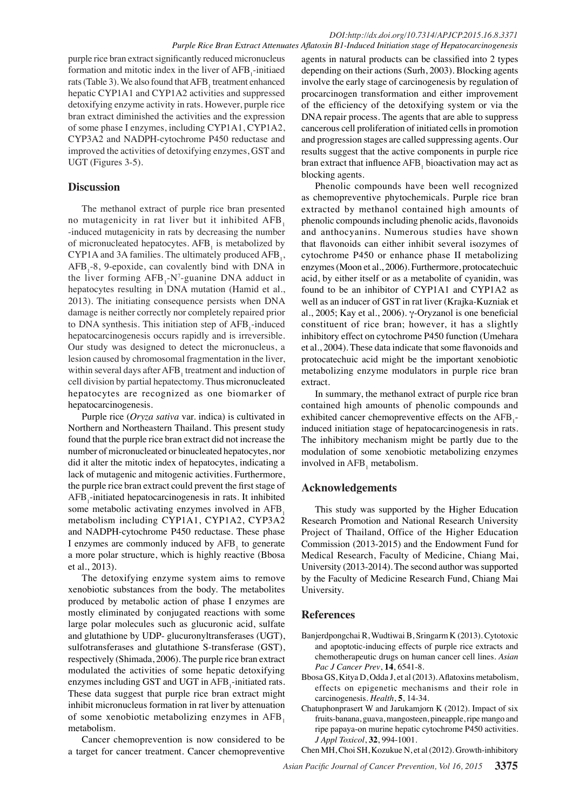purple rice bran extract significantly reduced micronucleus formation and mitotic index in the liver of  $AFB<sub>1</sub>$ -initiaed rats (Table 3). We also found that  $\text{AFB}_1$  treatment enhanced hepatic CYP1A1 and CYP1A2 activities and suppressed detoxifying enzyme activity in rats. However, purple rice bran extract diminished the activities and the expression of some phase I enzymes, including CYP1A1, CYP1A2, CYP3A2 and NADPH-cytochrome P450 reductase and improved the activities of detoxifying enzymes, GST and UGT (Figures 3-5).

## **Discussion**

The methanol extract of purple rice bran presented no mutagenicity in rat liver but it inhibited AFB, -induced mutagenicity in rats by decreasing the number of micronucleated hepatocytes.  $AFB<sub>1</sub>$  is metabolized by CYP1A and 3A families. The ultimately produced  $AFB_1$ ,  $AFB<sub>1</sub>$ -8, 9-epoxide, can covalently bind with DNA in the liver forming  $AFB_1$ -N<sup>7</sup>-guanine DNA adduct in hepatocytes resulting in DNA mutation (Hamid et al., 2013). The initiating consequence persists when DNA damage is neither correctly nor completely repaired prior to DNA synthesis. This initiation step of  $AFB_1$ -induced hepatocarcinogenesis occurs rapidly and is irreversible. Our study was designed to detect the micronucleus, a lesion caused by chromosomal fragmentation in the liver, within several days after  $AFB<sub>1</sub>$  treatment and induction of cell division by partial hepatectomy. Thus micronucleated hepatocytes are recognized as one biomarker of hepatocarcinogenesis.

Purple rice (*Oryza sativa* var. indica) is cultivated in Northern and Northeastern Thailand. This present study found that the purple rice bran extract did not increase the number of micronucleated or binucleated hepatocytes, nor did it alter the mitotic index of hepatocytes, indicating a lack of mutagenic and mitogenic activities. Furthermore, the purple rice bran extract could prevent the first stage of AFB<sub>1</sub>-initiated hepatocarcinogenesis in rats. It inhibited some metabolic activating enzymes involved in  $AFB<sub>1</sub>$ metabolism including CYP1A1, CYP1A2, CYP3A2 and NADPH-cytochrome P450 reductase. These phase I enzymes are commonly induced by  $AFB<sub>1</sub>$  to generate a more polar structure, which is highly reactive (Bbosa et al., 2013).

The detoxifying enzyme system aims to remove xenobiotic substances from the body. The metabolites produced by metabolic action of phase I enzymes are mostly eliminated by conjugated reactions with some large polar molecules such as glucuronic acid, sulfate and glutathione by UDP- glucuronyltransferases (UGT), sulfotransferases and glutathione S-transferase (GST), respectively (Shimada, 2006). The purple rice bran extract modulated the activities of some hepatic detoxifying enzymes including GST and UGT in  $AFB_1$ -initiated rats. These data suggest that purple rice bran extract might inhibit micronucleus formation in rat liver by attenuation of some xenobiotic metabolizing enzymes in AFB<sub>1</sub> metabolism.

Cancer chemoprevention is now considered to be a target for cancer treatment. Cancer chemopreventive

agents in natural products can be classified into 2 types depending on their actions (Surh, 2003). Blocking agents involve the early stage of carcinogenesis by regulation of procarcinogen transformation and either improvement of the efficiency of the detoxifying system or via the DNA repair process. The agents that are able to suppress cancerous cell proliferation of initiated cells in promotion and progression stages are called suppressing agents. Our results suggest that the active components in purple rice bran extract that influence  $AFB_1$  bioactivation may act as blocking agents.

Phenolic compounds have been well recognized as chemopreventive phytochemicals. Purple rice bran extracted by methanol contained high amounts of phenolic compounds including phenolic acids, flavonoids and anthocyanins. Numerous studies have shown that flavonoids can either inhibit several isozymes of cytochrome P450 or enhance phase II metabolizing enzymes (Moon et al., 2006). Furthermore, protocatechuic acid, by either itself or as a metabolite of cyanidin, was found to be an inhibitor of CYP1A1 and CYP1A2 as well as an inducer of GST in rat liver (Krajka-Kuzniak et al., 2005; Kay et al., 2006). γ-Oryzanol is one beneficial constituent of rice bran; however, it has a slightly inhibitory effect on cytochrome P450 function (Umehara et al., 2004). These data indicate that some flavonoids and protocatechuic acid might be the important xenobiotic metabolizing enzyme modulators in purple rice bran extract.

In summary, the methanol extract of purple rice bran contained high amounts of phenolic compounds and exhibited cancer chemopreventive effects on the  $AFB_1$ induced initiation stage of hepatocarcinogenesis in rats. The inhibitory mechanism might be partly due to the modulation of some xenobiotic metabolizing enzymes involved in  $AFB_1$  metabolism.

# **Acknowledgements**

This study was supported by the Higher Education Research Promotion and National Research University Project of Thailand, Office of the Higher Education Commission (2013-2015) and the Endowment Fund for Medical Research, Faculty of Medicine, Chiang Mai, University (2013-2014). The second author was supported by the Faculty of Medicine Research Fund, Chiang Mai University.

# **References**

- Banjerdpongchai R, Wudtiwai B, Sringarm K (2013). Cytotoxic and apoptotic-inducing effects of purple rice extracts and chemotherapeutic drugs on human cancer cell lines. *Asian Pac J Cancer Prev*, **14**, 6541-8.
- Bbosa GS, Kitya D, Odda J, et al (2013). Aflatoxins metabolism, effects on epigenetic mechanisms and their role in carcinogenesis. *Health*, **5**, 14-34.
- Chatuphonprasert W and Jarukamjorn K (2012). Impact of six fruits-banana, guava, mangosteen, pineapple, ripe mango and ripe papaya-on murine hepatic cytochrome P450 activities. *J Appl Toxicol*, **32**, 994-1001.

Chen MH, Choi SH, Kozukue N, et al (2012). Growth-inhibitory